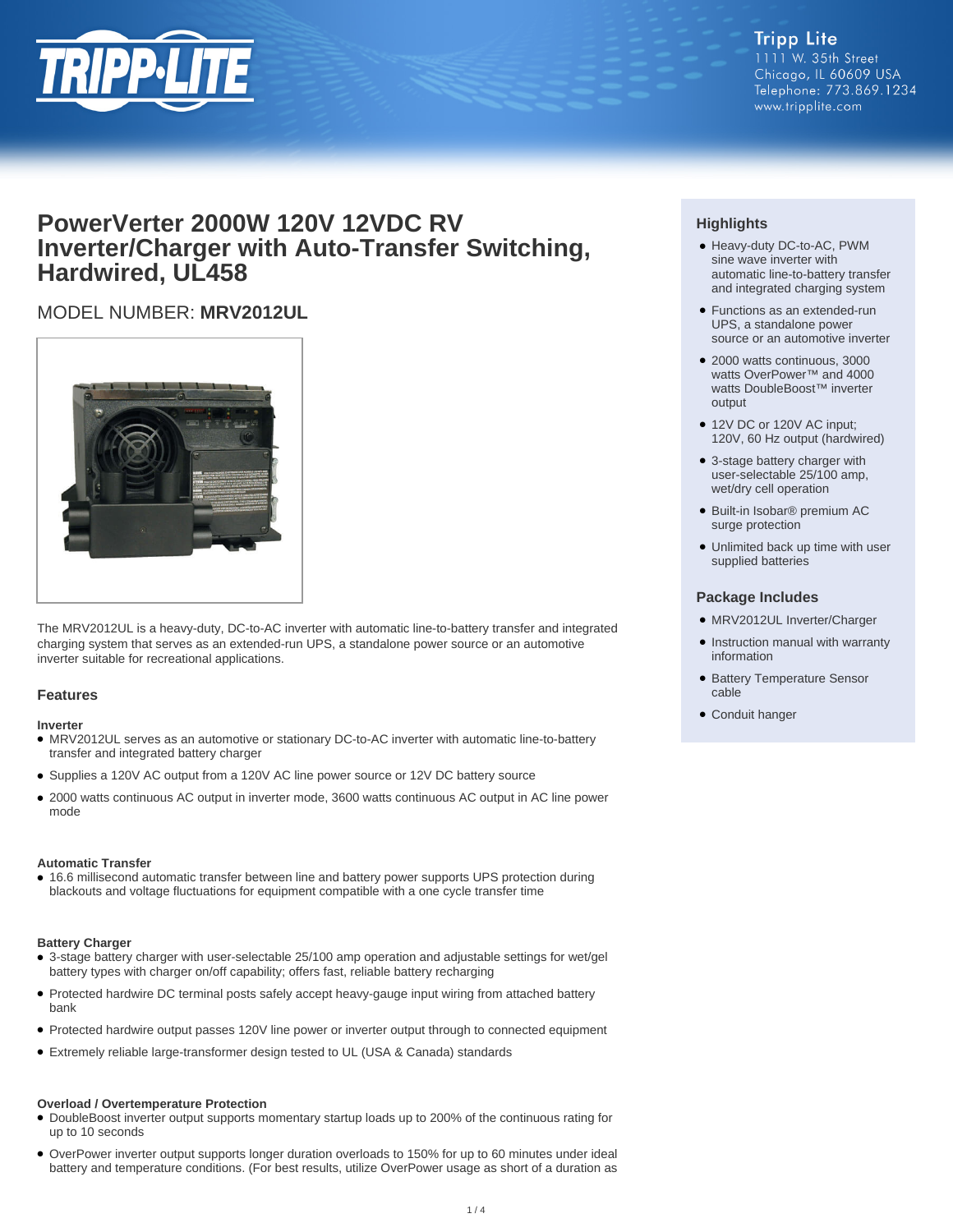

#### **Tripp Lite** 1111 W. 35th Street Chicago, IL 60609 USA Telephone: 773.869.1234 www.tripplite.com

## **PowerVerter 2000W 120V 12VDC RV Inverter/Charger with Auto-Transfer Switching, Hardwired, UL458**

## MODEL NUMBER: **MRV2012UL**



The MRV2012UL is a heavy-duty, DC-to-AC inverter with automatic line-to-battery transfer and integrated charging system that serves as an extended-run UPS, a standalone power source or an automotive inverter suitable for recreational applications.

#### **Features**

#### **Inverter**

- MRV2012UL serves as an automotive or stationary DC-to-AC inverter with automatic line-to-battery transfer and integrated battery charger
- Supplies a 120V AC output from a 120V AC line power source or 12V DC battery source
- 2000 watts continuous AC output in inverter mode, 3600 watts continuous AC output in AC line power mode

#### **Automatic Transfer**

● 16.6 millisecond automatic transfer between line and battery power supports UPS protection during blackouts and voltage fluctuations for equipment compatible with a one cycle transfer time

#### **Battery Charger**

- 3-stage battery charger with user-selectable 25/100 amp operation and adjustable settings for wet/gel battery types with charger on/off capability; offers fast, reliable battery recharging
- Protected hardwire DC terminal posts safely accept heavy-gauge input wiring from attached battery bank
- Protected hardwire output passes 120V line power or inverter output through to connected equipment
- Extremely reliable large-transformer design tested to UL (USA & Canada) standards

#### **Overload / Overtemperature Protection**

- DoubleBoost inverter output supports momentary startup loads up to 200% of the continuous rating for up to 10 seconds
- OverPower inverter output supports longer duration overloads to 150% for up to 60 minutes under ideal battery and temperature conditions. (For best results, utilize OverPower usage as short of a duration as

### **Highlights**

- Heavy-duty DC-to-AC, PWM sine wave inverter with automatic line-to-battery transfer and integrated charging system
- Functions as an extended-run UPS, a standalone power source or an automotive inverter
- 2000 watts continuous, 3000 watts OverPower™ and 4000 watts DoubleBoost™ inverter output
- 12V DC or 120V AC input; 120V, 60 Hz output (hardwired)
- 3-stage battery charger with user-selectable 25/100 amp, wet/dry cell operation
- Built-in Isobar® premium AC surge protection
- Unlimited back up time with user supplied batteries

#### **Package Includes**

- MRV2012UL Inverter/Charger
- Instruction manual with warranty information
- Battery Temperature Sensor cable
- Conduit hanger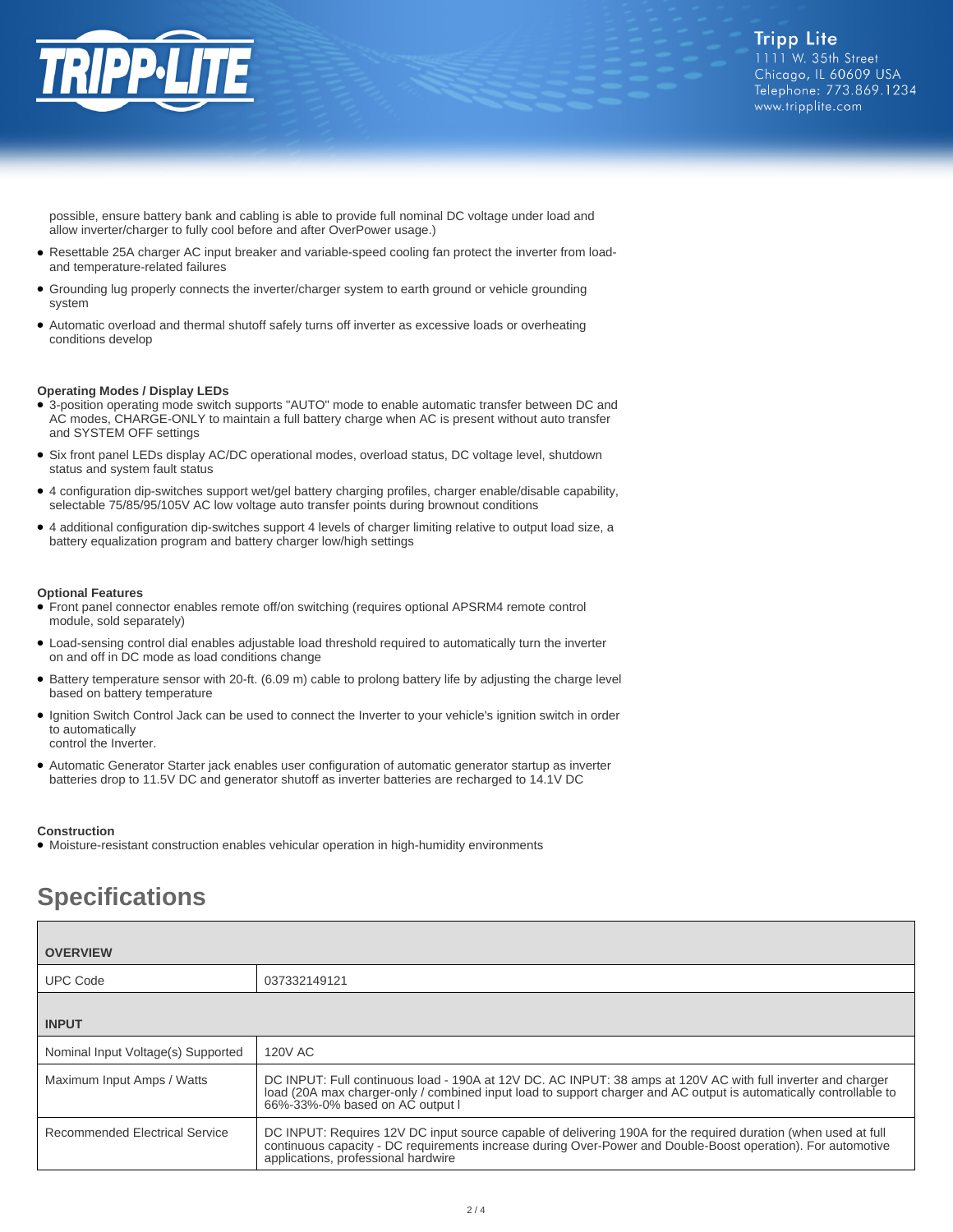

possible, ensure battery bank and cabling is able to provide full nominal DC voltage under load and allow inverter/charger to fully cool before and after OverPower usage.)

- Resettable 25A charger AC input breaker and variable-speed cooling fan protect the inverter from loadand temperature-related failures
- Grounding lug properly connects the inverter/charger system to earth ground or vehicle grounding system
- Automatic overload and thermal shutoff safely turns off inverter as excessive loads or overheating conditions develop

#### **Operating Modes / Display LEDs**

- 3-position operating mode switch supports "AUTO" mode to enable automatic transfer between DC and AC modes, CHARGE-ONLY to maintain a full battery charge when AC is present without auto transfer and SYSTEM OFF settings
- Six front panel LEDs display AC/DC operational modes, overload status, DC voltage level, shutdown status and system fault status
- 4 configuration dip-switches support wet/gel battery charging profiles, charger enable/disable capability, selectable 75/85/95/105V AC low voltage auto transfer points during brownout conditions
- 4 additional configuration dip-switches support 4 levels of charger limiting relative to output load size, a battery equalization program and battery charger low/high settings

#### **Optional Features**

- Front panel connector enables remote off/on switching (requires optional APSRM4 remote control module, sold separately)
- Load-sensing control dial enables adjustable load threshold required to automatically turn the inverter on and off in DC mode as load conditions change
- Battery temperature sensor with 20-ft. (6.09 m) cable to prolong battery life by adjusting the charge level based on battery temperature
- Ignition Switch Control Jack can be used to connect the Inverter to your vehicle's ignition switch in order to automatically
- control the Inverter.
- Automatic Generator Starter jack enables user configuration of automatic generator startup as inverter batteries drop to 11.5V DC and generator shutoff as inverter batteries are recharged to 14.1V DC

#### **Construction**

● Moisture-resistant construction enables vehicular operation in high-humidity environments

# **Specifications**

| <b>OVERVIEW</b>                    |                                                                                                                                                                                                                                                                       |
|------------------------------------|-----------------------------------------------------------------------------------------------------------------------------------------------------------------------------------------------------------------------------------------------------------------------|
| <b>UPC Code</b>                    | 037332149121                                                                                                                                                                                                                                                          |
| <b>INPUT</b>                       |                                                                                                                                                                                                                                                                       |
| Nominal Input Voltage(s) Supported | <b>120V AC</b>                                                                                                                                                                                                                                                        |
| Maximum Input Amps / Watts         | DC INPUT: Full continuous load - 190A at 12V DC. AC INPUT: 38 amps at 120V AC with full inverter and charger<br>load (20A max charger-only / combined input load to support charger and AC output is automatically controllable to<br>66%-33%-0% based on AC output I |
| Recommended Electrical Service     | DC INPUT: Requires 12V DC input source capable of delivering 190A for the required duration (when used at full<br>continuous capacity - DC requirements increase during Over-Power and Double-Boost operation). For automotive<br>applications, professional hardwire |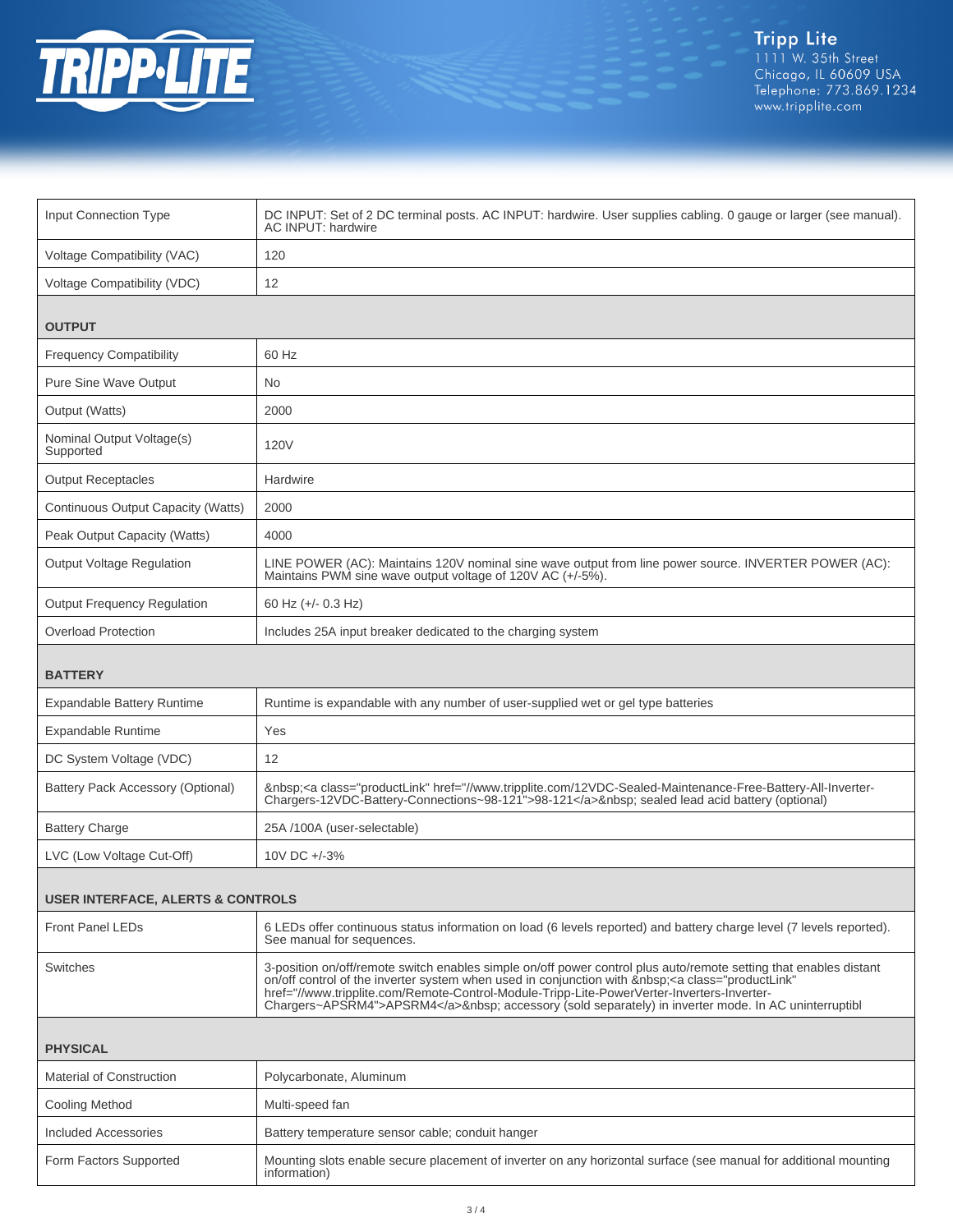

| Input Connection Type                        | DC INPUT: Set of 2 DC terminal posts. AC INPUT: hardwire. User supplies cabling. 0 gauge or larger (see manual).<br>AC INPUT: hardwire                                                                                                                                                                                                                                                                                  |  |
|----------------------------------------------|-------------------------------------------------------------------------------------------------------------------------------------------------------------------------------------------------------------------------------------------------------------------------------------------------------------------------------------------------------------------------------------------------------------------------|--|
| Voltage Compatibility (VAC)                  | 120                                                                                                                                                                                                                                                                                                                                                                                                                     |  |
| Voltage Compatibility (VDC)                  | 12                                                                                                                                                                                                                                                                                                                                                                                                                      |  |
| <b>OUTPUT</b>                                |                                                                                                                                                                                                                                                                                                                                                                                                                         |  |
| <b>Frequency Compatibility</b>               | 60 Hz                                                                                                                                                                                                                                                                                                                                                                                                                   |  |
| Pure Sine Wave Output                        | <b>No</b>                                                                                                                                                                                                                                                                                                                                                                                                               |  |
| Output (Watts)                               | 2000                                                                                                                                                                                                                                                                                                                                                                                                                    |  |
| Nominal Output Voltage(s)<br>Supported       | 120V                                                                                                                                                                                                                                                                                                                                                                                                                    |  |
| <b>Output Receptacles</b>                    | Hardwire                                                                                                                                                                                                                                                                                                                                                                                                                |  |
| Continuous Output Capacity (Watts)           | 2000                                                                                                                                                                                                                                                                                                                                                                                                                    |  |
| Peak Output Capacity (Watts)                 | 4000                                                                                                                                                                                                                                                                                                                                                                                                                    |  |
| <b>Output Voltage Regulation</b>             | LINE POWER (AC): Maintains 120V nominal sine wave output from line power source. INVERTER POWER (AC):<br>Maintains PWM sine wave output voltage of 120V AC (+/-5%).                                                                                                                                                                                                                                                     |  |
| <b>Output Frequency Regulation</b>           | 60 Hz (+/- 0.3 Hz)                                                                                                                                                                                                                                                                                                                                                                                                      |  |
| <b>Overload Protection</b>                   | Includes 25A input breaker dedicated to the charging system                                                                                                                                                                                                                                                                                                                                                             |  |
| <b>BATTERY</b>                               |                                                                                                                                                                                                                                                                                                                                                                                                                         |  |
| <b>Expandable Battery Runtime</b>            | Runtime is expandable with any number of user-supplied wet or gel type batteries                                                                                                                                                                                                                                                                                                                                        |  |
| Expandable Runtime                           | Yes                                                                                                                                                                                                                                                                                                                                                                                                                     |  |
| DC System Voltage (VDC)                      | 12                                                                                                                                                                                                                                                                                                                                                                                                                      |  |
| Battery Pack Accessory (Optional)            | <a class="productLink" href="//www.tripplite.com/12VDC-Sealed-Maintenance-Free-Battery-All-Inverter-&lt;br&gt;Chargers-12VDC-Battery-Connections~98-121">98-121</a> sealed lead acid battery (optional)                                                                                                                                                                                                                 |  |
| <b>Battery Charge</b>                        | 25A /100A (user-selectable)                                                                                                                                                                                                                                                                                                                                                                                             |  |
| LVC (Low Voltage Cut-Off)                    | 10V DC +/-3%                                                                                                                                                                                                                                                                                                                                                                                                            |  |
| <b>USER INTERFACE, ALERTS &amp; CONTROLS</b> |                                                                                                                                                                                                                                                                                                                                                                                                                         |  |
| <b>Front Panel LEDs</b>                      | 6 LEDs offer continuous status information on load (6 levels reported) and battery charge level (7 levels reported).<br>See manual for sequences.                                                                                                                                                                                                                                                                       |  |
| <b>Switches</b>                              | 3-position on/off/remote switch enables simple on/off power control plus auto/remote setting that enables distant<br>on/off control of the inverter system when used in conjunction with <a <br="" class="productLink">href="//www.tripplite.com/Remote-Control-Module-Tripp-Lite-PowerVerter-Inverters-Inverter-<br/>Chargers~APSRM4"&gt;APSRM4</a> accessory (sold separately) in inverter mode. In AC uninterruptibl |  |
| <b>PHYSICAL</b>                              |                                                                                                                                                                                                                                                                                                                                                                                                                         |  |
| <b>Material of Construction</b>              | Polycarbonate, Aluminum                                                                                                                                                                                                                                                                                                                                                                                                 |  |
| Cooling Method                               | Multi-speed fan                                                                                                                                                                                                                                                                                                                                                                                                         |  |
| <b>Included Accessories</b>                  | Battery temperature sensor cable; conduit hanger                                                                                                                                                                                                                                                                                                                                                                        |  |
| Form Factors Supported                       | Mounting slots enable secure placement of inverter on any horizontal surface (see manual for additional mounting<br>information)                                                                                                                                                                                                                                                                                        |  |